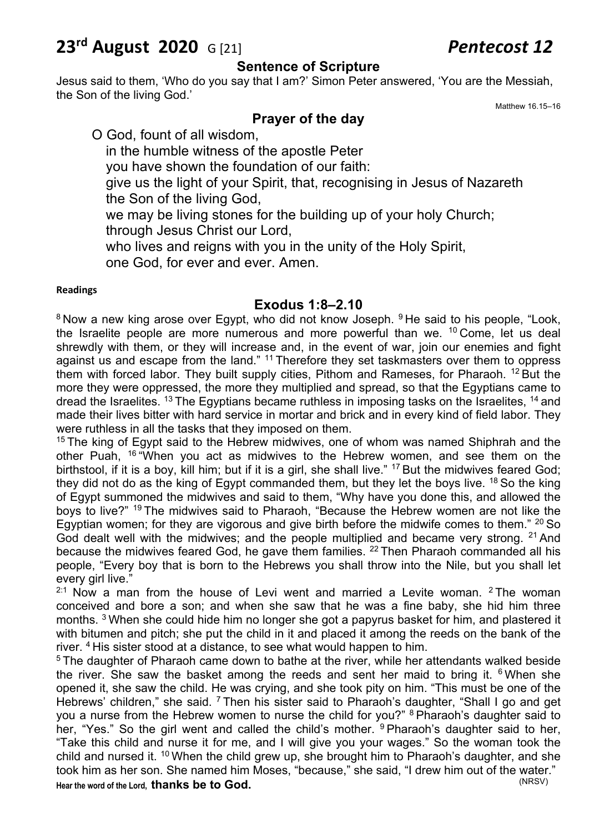# **23rd August 2020** G [21] *Pentecost 12*

#### **Sentence of Scripture**

Jesus said to them, 'Who do you say that I am?' Simon Peter answered, 'You are the Messiah, the Son of the living God.'

Matthew 16.15–16

#### **Prayer of the day**

O God, fount of all wisdom, in the humble witness of the apostle Peter you have shown the foundation of our faith: give us the light of your Spirit, that, recognising in Jesus of Nazareth the Son of the living God, we may be living stones for the building up of your holy Church; through Jesus Christ our Lord,

who lives and reigns with you in the unity of the Holy Spirit, one God, for ever and ever. Amen.

#### **Readings**

#### **Exodus 1:8–2.10**

<sup>8</sup> Now a new king arose over Egypt, who did not know Joseph. <sup>9</sup> He said to his people, "Look, the Israelite people are more numerous and more powerful than we. 10 Come, let us deal shrewdly with them, or they will increase and, in the event of war, join our enemies and fight against us and escape from the land." <sup>11</sup> Therefore they set taskmasters over them to oppress them with forced labor. They built supply cities, Pithom and Rameses, for Pharaoh.  $12$  But the more they were oppressed, the more they multiplied and spread, so that the Egyptians came to dread the Israelites. <sup>13</sup> The Egyptians became ruthless in imposing tasks on the Israelites, <sup>14</sup> and made their lives bitter with hard service in mortar and brick and in every kind of field labor. They were ruthless in all the tasks that they imposed on them.

 $15$  The king of Egypt said to the Hebrew midwives, one of whom was named Shiphrah and the other Puah, <sup>16</sup> "When you act as midwives to the Hebrew women, and see them on the birthstool, if it is a boy, kill him; but if it is a girl, she shall live." 17 But the midwives feared God; they did not do as the king of Egypt commanded them, but they let the boys live. 18 So the king of Egypt summoned the midwives and said to them, "Why have you done this, and allowed the boys to live?" 19 The midwives said to Pharaoh, "Because the Hebrew women are not like the Egyptian women; for they are vigorous and give birth before the midwife comes to them."  $20$  So God dealt well with the midwives; and the people multiplied and became very strong. <sup>21</sup> And because the midwives feared God, he gave them families. <sup>22</sup> Then Pharaoh commanded all his people, "Every boy that is born to the Hebrews you shall throw into the Nile, but you shall let every girl live."

 $2:1$  Now a man from the house of Levi went and married a Levite woman.  $2$  The woman conceived and bore a son; and when she saw that he was a fine baby, she hid him three months. <sup>3</sup> When she could hide him no longer she got a papyrus basket for him, and plastered it with bitumen and pitch; she put the child in it and placed it among the reeds on the bank of the river. 4 His sister stood at a distance, to see what would happen to him.

 $5$  The daughter of Pharaoh came down to bathe at the river, while her attendants walked beside the river. She saw the basket among the reeds and sent her maid to bring it.  $6$  When she opened it, she saw the child. He was crying, and she took pity on him. "This must be one of the Hebrews' children," she said. <sup>7</sup> Then his sister said to Pharaoh's daughter, "Shall I go and get you a nurse from the Hebrew women to nurse the child for you?" <sup>8</sup> Pharaoh's daughter said to her, "Yes." So the girl went and called the child's mother. <sup>9</sup> Pharaoh's daughter said to her, "Take this child and nurse it for me, and I will give you your wages." So the woman took the child and nursed it.  $10$  When the child grew up, she brought him to Pharaoh's daughter, and she took him as her son. She named him Moses, "because," she said, "I drew him out of the water." Hear the word of the Lord, **thanks** be to God.